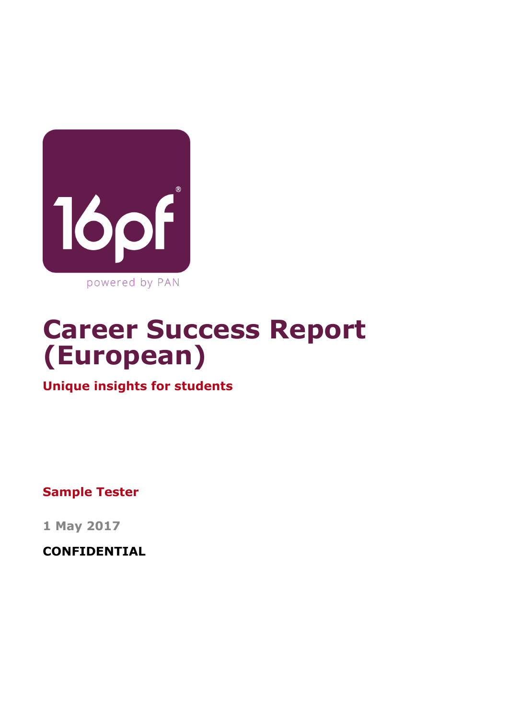

# **Career Success Report (European)**

**Unique insights for students**

**Sample Tester**

**1 May 2017**

**CONFIDENTIAL**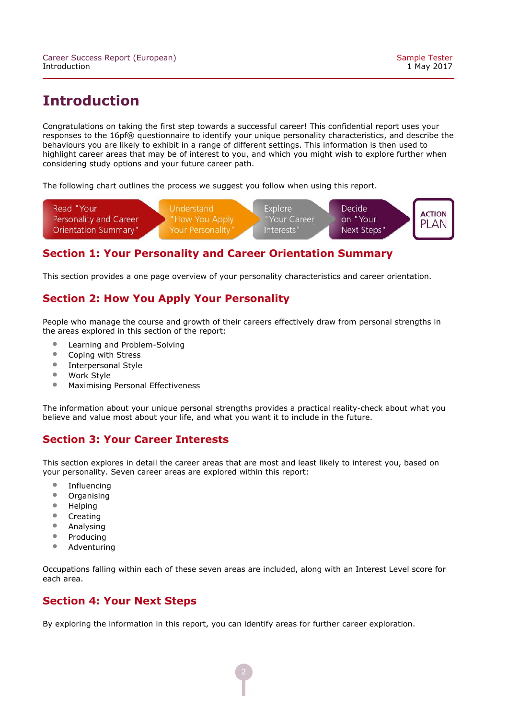# **Introduction**

Congratulations on taking the first step towards a successful career! This confidential report uses your responses to the 16pf® questionnaire to identify your unique personality characteristics, and describe the behaviours you are likely to exhibit in a range of different settings. This information is then used to highlight career areas that may be of interest to you, and which you might wish to explore further when considering study options and your future career path.

The following chart outlines the process we suggest you follow when using this report.



#### **Section 1: Your Personality and Career Orientation Summary**

This section provides a one page overview of your personality characteristics and career orientation.

#### **Section 2: How You Apply Your Personality**

People who manage the course and growth of their careers effectively draw from personal strengths in the areas explored in this section of the report:

- Learning and Problem-Solving<br>• Coning with Stress
- Coping with Stress<br>• Internersonal Style
- Interpersonal Style<br>• Work Style
- 
- Work Style<br>• Maximising • Maximising Personal Effectiveness

The information about your unique personal strengths provides a practical reality-check about what you believe and value most about your life, and what you want it to include in the future.

#### **Section 3: Your Career Interests**

This section explores in detail the career areas that are most and least likely to interest you, based on your personality. Seven career areas are explored within this report:

- Influencing<br>• Organising
- Organising<br>• Helping
- Helping<br>• Creating
- Creating<br>• Analysin
- Analysing<br>• Producing
- Producing<br>• Adventuri
- **Adventuring**

Occupations falling within each of these seven areas are included, along with an Interest Level score for each area.

#### **Section 4: Your Next Steps**

By exploring the information in this report, you can identify areas for further career exploration.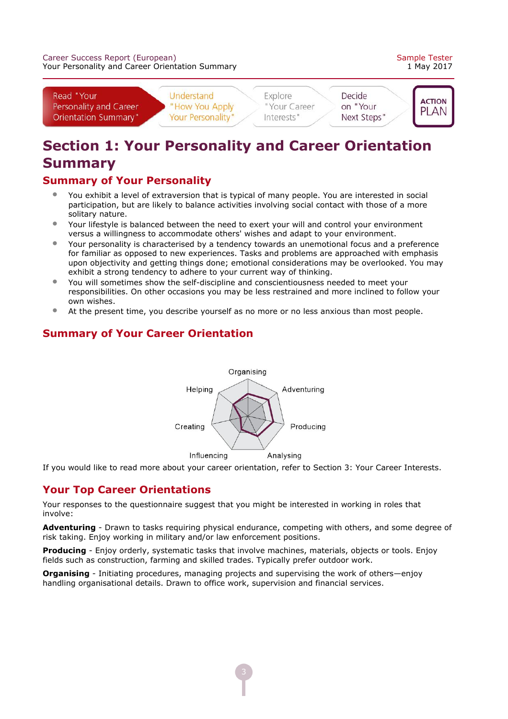

# **Section 1: Your Personality and Career Orientation Summary**

#### **Summary of Your Personality**

- You exhibit a level of extraversion that is typical of many people. You are interested in social participation, but are likely to balance activities involving social contact with those of a more solitary nature.
- Your lifestyle is balanced between the need to exert your will and control your environment versus a willingness to accommodate others' wishes and adapt to your environment.
- Your personality is characterised by a tendency towards an unemotional focus and a preference for familiar as opposed to new experiences. Tasks and problems are approached with emphasis upon objectivity and getting things done; emotional considerations may be overlooked. You may exhibit a strong tendency to adhere to your current way of thinking.
- You will sometimes show the self-discipline and conscientiousness needed to meet your responsibilities. On other occasions you may be less restrained and more inclined to follow your own wishes.
- At the present time, you describe yourself as no more or no less anxious than most people.

### Organising Helping Adventuring Creating Producing Influencing Analysing

If you would like to read more about your career orientation, refer to Section 3: Your Career Interests.

# **Your Top Career Orientations**

Your responses to the questionnaire suggest that you might be interested in working in roles that involve:

Adventuring - Drawn to tasks requiring physical endurance, competing with others, and some degree of risk taking. Enjoy working in military and/or law enforcement positions.

**Producing** - Enjoy orderly, systematic tasks that involve machines, materials, objects or tools. Enjoy fields such as construction, farming and skilled trades. Typically prefer outdoor work.

**Organising** - Initiating procedures, managing projects and supervising the work of others—enjoy handling organisational details. Drawn to office work, supervision and financial services.

# **Summary of Your Career Orientation**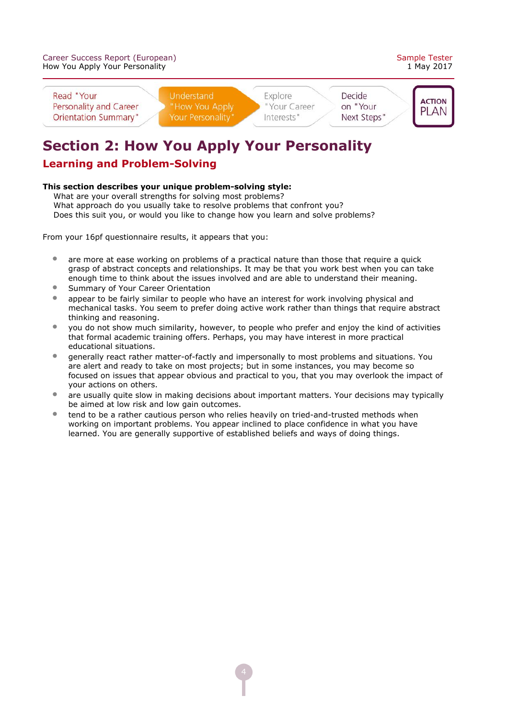



# **Section 2: How You Apply Your Personality**

### **Learning and Problem-Solving**

#### This section describes your unique problem-solving style:

 What are your overall strengths for solving most problems? What approach do you usually take to resolve problems that confront you? Does this suit you, or would you like to change how you learn and solve problems?

- are more at ease working on problems of a practical nature than those that require a quick grasp of abstract concepts and relationships. It may be that you work best when you can take enough time to think about the issues involved and are able to understand their meaning.
- Summary of Your Career Orientation
- appear to be fairly similar to people who have an interest for work involving physical and mechanical tasks. You seem to prefer doing active work rather than things that require abstract thinking and reasoning.
- you do not show much similarity, however, to people who prefer and enjoy the kind of activities that formal academic training offers. Perhaps, you may have interest in more practical educational situations.
- generally react rather matter-of-factly and impersonally to most problems and situations. You are alert and ready to take on most projects; but in some instances, you may become so focused on issues that appear obvious and practical to you, that you may overlook the impact of your actions on others.
- are usually quite slow in making decisions about important matters. Your decisions may typically be aimed at low risk and low gain outcomes.
- tend to be a rather cautious person who relies heavily on tried-and-trusted methods when working on important problems. You appear inclined to place confidence in what you have learned. You are generally supportive of established beliefs and ways of doing things.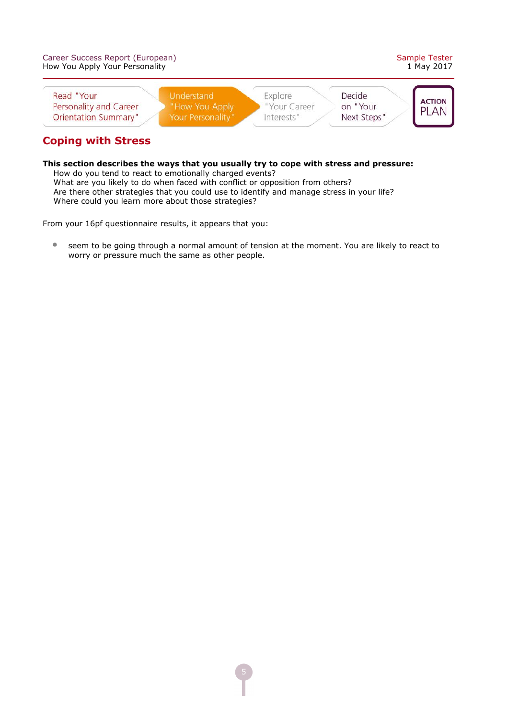| Career Success Report (European)<br>How You Apply Your Personality  |                                                   |                                       |                                   | Sample Tester<br>1 May 2017   |
|---------------------------------------------------------------------|---------------------------------------------------|---------------------------------------|-----------------------------------|-------------------------------|
| Read "Your<br>Personality and Career<br><b>Orientation Summary"</b> | Understand<br>"How You Apply<br>Your Personality" | Explore<br>"Your Career<br>Interests" | Decide<br>on "Your<br>Next Steps" | <b>ACTION</b><br><b>PI AN</b> |

# **Coping with Stress**

#### **This section describes the ways that you usually try to cope with stress and pressure:** How do you tend to react to emotionally charged events? What are you likely to do when faced with conflict or opposition from others?

 Are there other strategies that you could use to identify and manage stress in your life? Where could you learn more about those strategies?

From your 16pf questionnaire results, it appears that you:

• seem to be going through a normal amount of tension at the moment. You are likely to react to worry or pressure much the same as other people.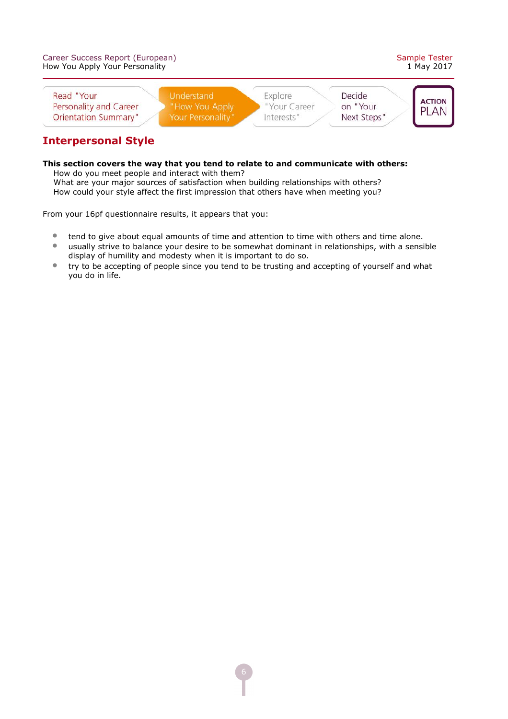| Career Success Report (European)<br>How You Apply Your Personality  |                                                   |                                       |                                   | Sample Tester<br>1 May 2017   |
|---------------------------------------------------------------------|---------------------------------------------------|---------------------------------------|-----------------------------------|-------------------------------|
| Read "Your<br>Personality and Career<br><b>Orientation Summary"</b> | Understand<br>"How You Apply<br>Your Personality" | Explore<br>"Your Career<br>Interests" | Decide<br>on "Your<br>Next Steps" | <b>ACTION</b><br><b>PI AN</b> |

# **Interpersonal Style**

#### **This section covers the way that you tend to relate to and communicate with others:** How do you meet people and interact with them?

 What are your major sources of satisfaction when building relationships with others? How could your style affect the first impression that others have when meeting you?

- tend to give about equal amounts of time and attention to time with others and time alone.
- usually strive to balance your desire to be somewhat dominant in relationships, with a sensible display of humility and modesty when it is important to do so.
- try to be accepting of people since you tend to be trusting and accepting of yourself and what you do in life.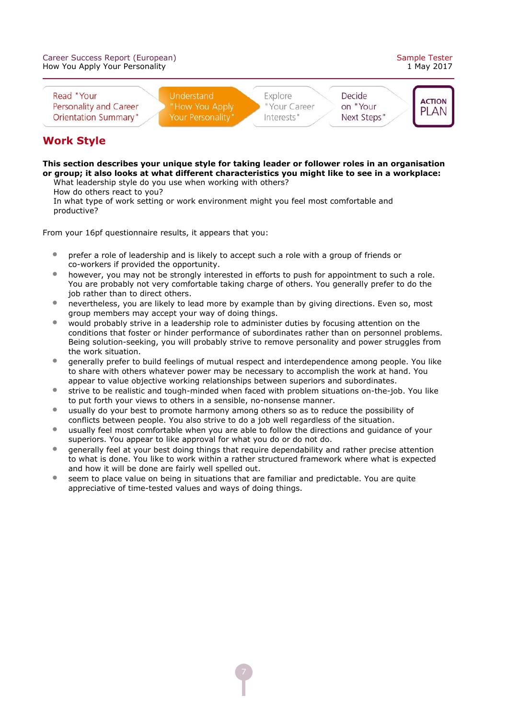

#### **Work Style**

#### **This section describes your unique style for taking leader or follower roles in an organisation or group; it also looks at what different characteristics you might like to see in a workplace:** What leadership style do you use when working with others?

How do others react to you?

 In what type of work setting or work environment might you feel most comfortable and productive?

- prefer a role of leadership and is likely to accept such a role with a group of friends or co-workers if provided the opportunity.
- however, you may not be strongly interested in efforts to push for appointment to such a role. You are probably not very comfortable taking charge of others. You generally prefer to do the job rather than to direct others.
- nevertheless, you are likely to lead more by example than by giving directions. Even so, most group members may accept your way of doing things.
- would probably strive in a leadership role to administer duties by focusing attention on the conditions that foster or hinder performance of subordinates rather than on personnel problems. Being solution-seeking, you will probably strive to remove personality and power struggles from the work situation.
- generally prefer to build feelings of mutual respect and interdependence among people. You like to share with others whatever power may be necessary to accomplish the work at hand. You appear to value objective working relationships between superiors and subordinates.
- strive to be realistic and tough-minded when faced with problem situations on-the-job. You like to put forth your views to others in a sensible, no-nonsense manner.
- usually do your best to promote harmony among others so as to reduce the possibility of conflicts between people. You also strive to do a job well regardless of the situation.
- usually feel most comfortable when you are able to follow the directions and guidance of your superiors. You appear to like approval for what you do or do not do.
- generally feel at your best doing things that require dependability and rather precise attention to what is done. You like to work within a rather structured framework where what is expected and how it will be done are fairly well spelled out.
- seem to place value on being in situations that are familiar and predictable. You are quite appreciative of time-tested values and ways of doing things.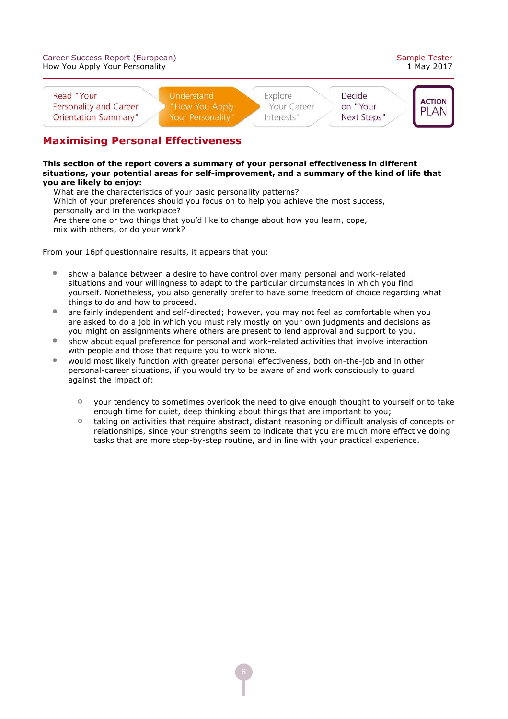

### **Maximising Personal Effectiveness**

**This section of the report covers a summary of your personal effectiveness in different** situations, your potential areas for self-improvement, and a summary of the kind of life that **you are likely to enjoy:**

 What are the characteristics of your basic personality patterns? Which of your preferences should you focus on to help you achieve the most success, personally and in the workplace? Are there one or two things that you'd like to change about how you learn, cope, mix with others, or do your work?

- $\bullet$  show a balance between a desire to have control over many personal and work-related situations and your willingness to adapt to the particular circumstances in which you find yourself. Nonetheless, you also generally prefer to have some freedom of choice regarding what things to do and how to proceed.
- are fairly independent and self-directed; however, you may not feel as comfortable when you are asked to do a job in which you must rely mostly on your own judgments and decisions as you might on assignments where others are present to lend approval and support to you.
- show about equal preference for personal and work-related activities that involve interaction with people and those that require you to work alone.
- would most likely function with greater personal effectiveness, both on-the-job and in other personal-career situations, if you would try to be aware of and work consciously to quard against the impact of:
	- $\circ$ your tendency to sometimes overlook the need to give enough thought to yourself or to take enough time for quiet, deep thinking about things that are important to you;
	- $\circ$ taking on activities that require abstract, distant reasoning or difficult analysis of concepts or relationships, since your strengths seem to indicate that you are much more effective doing tasks that are more step-by-step routine, and in line with your practical experience.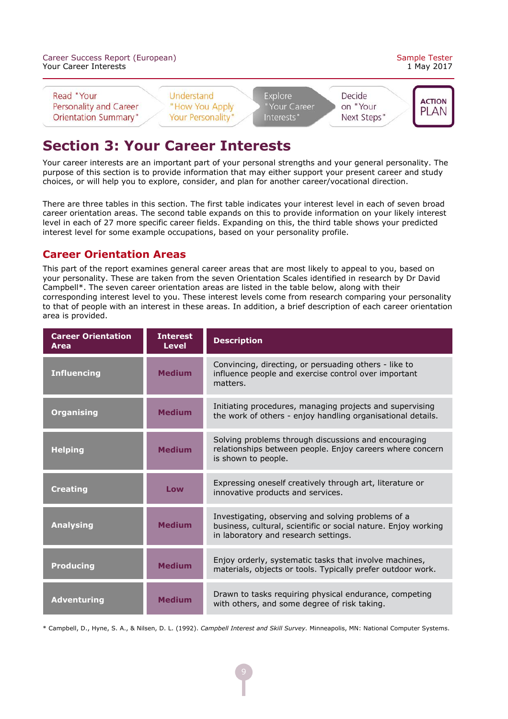

# **Section 3: Your Career Interests**

Your career interests are an important part of your personal strengths and your general personality. The purpose of this section is to provide information that may either support your present career and study choices, or will help you to explore, consider, and plan for another career/vocational direction.

There are three tables in this section. The first table indicates your interest level in each of seven broad career orientation areas. The second table expands on this to provide information on your likely interest level in each of 27 more specific career fields. Expanding on this, the third table shows your predicted interest level for some example occupations, based on your personality profile.

#### **Career Orientation Areas**

This part of the report examines general career areas that are most likely to appeal to you, based on your personality. These are taken from the seven Orientation Scales identified in research by Dr David Campbell\*. The seven career orientation areas are listed in the table below, along with their corresponding interest level to you. These interest levels come from research comparing your personality to that of people with an interest in these areas. In addition, a brief description of each career orientation area is provided.

| <b>Career Orientation</b><br><b>Area</b> | <b>Interest</b><br><b>Level</b> | <b>Description</b>                                                                                                                                           |
|------------------------------------------|---------------------------------|--------------------------------------------------------------------------------------------------------------------------------------------------------------|
| <b>Influencing</b>                       | <b>Medium</b>                   | Convincing, directing, or persuading others - like to<br>influence people and exercise control over important<br>matters.                                    |
| <b>Organising</b>                        | <b>Medium</b>                   | Initiating procedures, managing projects and supervising<br>the work of others - enjoy handling organisational details.                                      |
| <b>Helping</b>                           | <b>Medium</b>                   | Solving problems through discussions and encouraging<br>relationships between people. Enjoy careers where concern<br>is shown to people.                     |
| <b>Creating</b>                          | Low                             | Expressing oneself creatively through art, literature or<br>innovative products and services.                                                                |
| <b>Analysing</b>                         | <b>Medium</b>                   | Investigating, observing and solving problems of a<br>business, cultural, scientific or social nature. Enjoy working<br>in laboratory and research settings. |
| <b>Producing</b>                         | <b>Medium</b>                   | Enjoy orderly, systematic tasks that involve machines,<br>materials, objects or tools. Typically prefer outdoor work.                                        |
| <b>Adventuring</b>                       | <b>Medium</b>                   | Drawn to tasks requiring physical endurance, competing<br>with others, and some degree of risk taking.                                                       |

\* Campbell, D., Hyne, S. A., & Nilsen, D. L. (1992). *Campbell Interest and Skill Survey.* Minneapolis, MN: National Computer Systems.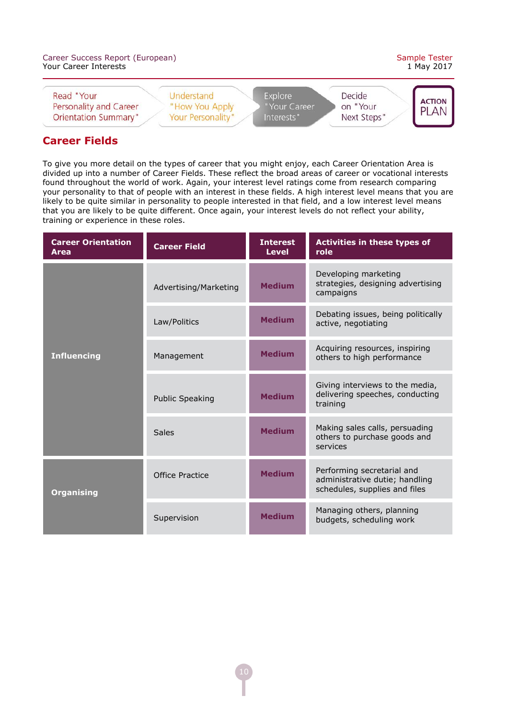| Career Success Report (European)<br>Your Career Interests           |                                                   |                                       |                                   | Sample Tester<br>1 May 2017  |
|---------------------------------------------------------------------|---------------------------------------------------|---------------------------------------|-----------------------------------|------------------------------|
| Read "Your<br>Personality and Career<br><b>Orientation Summary"</b> | Understand<br>"How You Apply<br>Your Personality" | Explore<br>"Your Career<br>Interests" | Decide<br>on "Your<br>Next Steps" | <b>ACTION</b><br><b>PLAN</b> |

#### **Career Fields**

To give you more detail on the types of career that you might enjoy, each Career Orientation Area is divided up into a number of Career Fields. These reflect the broad areas of career or vocational interests found throughout the world of work. Again, your interest level ratings come from research comparing your personality to that of people with an interest in these fields. A high interest level means that you are likely to be quite similar in personality to people interested in that field, and a low interest level means that you are likely to be quite different. Once again, your interest levels do not reflect your ability, training or experience in these roles.

| <b>Career Orientation</b><br><b>Area</b> | <b>Career Field</b>    | <b>Interest</b><br><b>Level</b> | <b>Activities in these types of</b><br>role                                                   |
|------------------------------------------|------------------------|---------------------------------|-----------------------------------------------------------------------------------------------|
|                                          | Advertising/Marketing  | <b>Medium</b>                   | Developing marketing<br>strategies, designing advertising<br>campaigns                        |
|                                          | Law/Politics           | <b>Medium</b>                   | Debating issues, being politically<br>active, negotiating                                     |
| <b>Influencing</b>                       | Management             | <b>Medium</b>                   | Acquiring resources, inspiring<br>others to high performance                                  |
|                                          | <b>Public Speaking</b> | <b>Medium</b>                   | Giving interviews to the media,<br>delivering speeches, conducting<br>training                |
|                                          | <b>Sales</b>           | <b>Medium</b>                   | Making sales calls, persuading<br>others to purchase goods and<br>services                    |
| <b>Organising</b>                        | Office Practice        | <b>Medium</b>                   | Performing secretarial and<br>administrative dutie; handling<br>schedules, supplies and files |
|                                          | Supervision            | <b>Medium</b>                   | Managing others, planning<br>budgets, scheduling work                                         |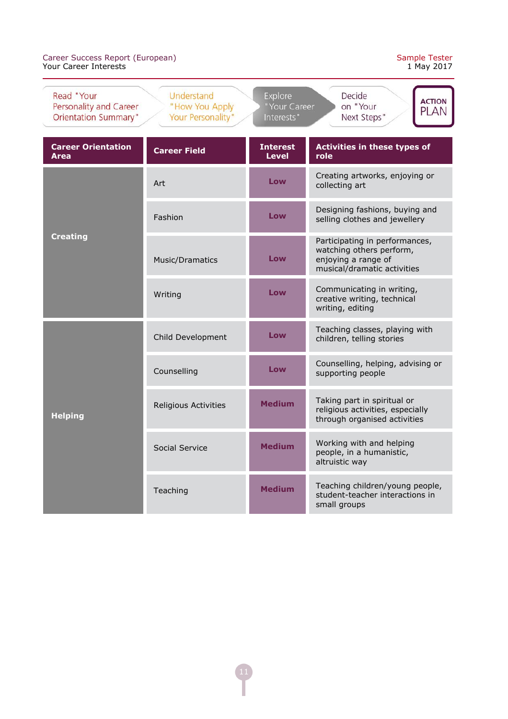| Read "Your<br>Personality and Career<br><b>Orientation Summary"</b> | Understand<br>"How You Apply<br>Your Personality" | <b>Explore</b><br>"Your Career<br>Interests" | Decide<br><b>ACTION</b><br>on "Your<br><b>PLAN</b><br>Next Steps"                                                |  |
|---------------------------------------------------------------------|---------------------------------------------------|----------------------------------------------|------------------------------------------------------------------------------------------------------------------|--|
| <b>Career Orientation</b><br><b>Area</b>                            | <b>Career Field</b>                               | <b>Interest</b><br><b>Level</b>              | <b>Activities in these types of</b><br>role                                                                      |  |
|                                                                     | Art                                               | Low                                          | Creating artworks, enjoying or<br>collecting art                                                                 |  |
|                                                                     | Fashion                                           | Low                                          | Designing fashions, buying and<br>selling clothes and jewellery                                                  |  |
| <b>Creating</b>                                                     | Music/Dramatics                                   | Low                                          | Participating in performances,<br>watching others perform,<br>enjoying a range of<br>musical/dramatic activities |  |
|                                                                     | Writing                                           | Low                                          | Communicating in writing,<br>creative writing, technical<br>writing, editing                                     |  |
|                                                                     | Child Development                                 | Low                                          | Teaching classes, playing with<br>children, telling stories                                                      |  |
|                                                                     | Counselling                                       | Low                                          | Counselling, helping, advising or<br>supporting people                                                           |  |
| <b>Helping</b>                                                      | <b>Religious Activities</b>                       | <b>Medium</b>                                | Taking part in spiritual or<br>religious activities, especially<br>through organised activities                  |  |
|                                                                     | Social Service                                    | <b>Medium</b>                                | Working with and helping<br>people, in a humanistic,<br>altruistic way                                           |  |
|                                                                     | Teaching                                          | <b>Medium</b>                                | Teaching children/young people,<br>student-teacher interactions in<br>small groups                               |  |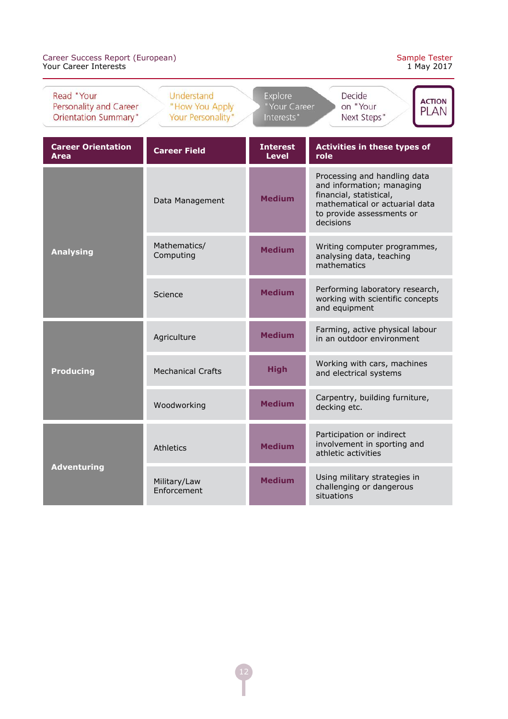| Read "Your<br>Personality and Career<br><b>Orientation Summary"</b> | Understand<br>"How You Apply<br>Your Personality" | <b>Explore</b><br>"Your Career<br>Interests" | Decide<br><b>ACTION</b><br>on "Your<br><b>PLAN</b><br>Next Steps"                                                                                                |  |
|---------------------------------------------------------------------|---------------------------------------------------|----------------------------------------------|------------------------------------------------------------------------------------------------------------------------------------------------------------------|--|
| <b>Career Orientation</b><br><b>Area</b>                            | <b>Career Field</b>                               | <b>Interest</b><br><b>Level</b>              | <b>Activities in these types of</b><br>role                                                                                                                      |  |
|                                                                     | Data Management                                   | <b>Medium</b>                                | Processing and handling data<br>and information; managing<br>financial, statistical,<br>mathematical or actuarial data<br>to provide assessments or<br>decisions |  |
| <b>Analysing</b>                                                    | Mathematics/<br>Computing                         | <b>Medium</b>                                | Writing computer programmes,<br>analysing data, teaching<br>mathematics                                                                                          |  |
|                                                                     | Science                                           | <b>Medium</b>                                | Performing laboratory research,<br>working with scientific concepts<br>and equipment                                                                             |  |
| <b>Producing</b>                                                    | Agriculture                                       | <b>Medium</b>                                | Farming, active physical labour<br>in an outdoor environment                                                                                                     |  |
|                                                                     | <b>Mechanical Crafts</b>                          | <b>High</b>                                  | Working with cars, machines<br>and electrical systems                                                                                                            |  |
|                                                                     | Woodworking                                       | <b>Medium</b>                                | Carpentry, building furniture,<br>decking etc.                                                                                                                   |  |
| <b>Adventuring</b>                                                  | Athletics                                         | <b>Medium</b>                                | Participation or indirect<br>involvement in sporting and<br>athletic activities                                                                                  |  |
|                                                                     | Military/Law<br>Enforcement                       | <b>Medium</b>                                | Using military strategies in<br>challenging or dangerous<br>situations                                                                                           |  |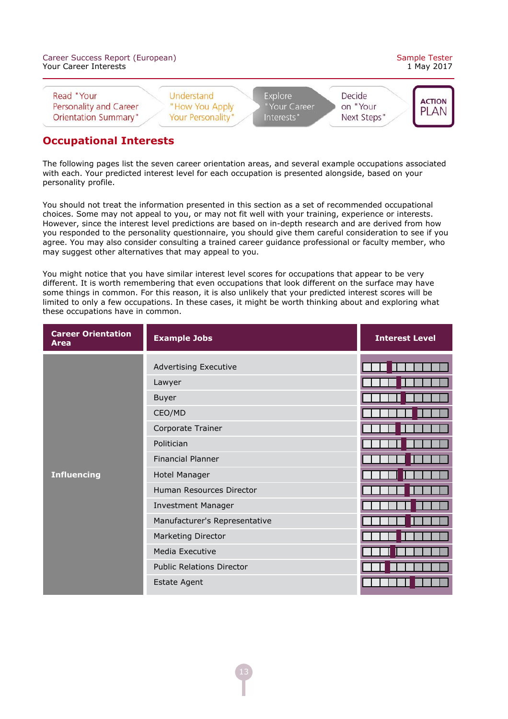| Career Success Report (European)<br>Your Career Interests           |                                                   |                                       |                                   | Sample Tester<br>1 May 2017  |
|---------------------------------------------------------------------|---------------------------------------------------|---------------------------------------|-----------------------------------|------------------------------|
| Read "Your<br>Personality and Career<br><b>Orientation Summary"</b> | Understand<br>"How You Apply<br>Your Personality" | Explore<br>"Your Career<br>Interests" | Decide<br>on "Your<br>Next Steps" | <b>ACTION</b><br><b>PLAN</b> |

#### **Occupational Interests**

The following pages list the seven career orientation areas, and several example occupations associated with each. Your predicted interest level for each occupation is presented alongside, based on your personality profile.

You should not treat the information presented in this section as a set of recommended occupational choices. Some may not appeal to you, or may not fit well with your training, experience or interests. However, since the interest level predictions are based on in-depth research and are derived from how you responded to the personality questionnaire, you should give them careful consideration to see if you agree. You may also consider consulting a trained career guidance professional or faculty member, who may suggest other alternatives that may appeal to you.

You might notice that you have similar interest level scores for occupations that appear to be very different. It is worth remembering that even occupations that look different on the surface may have some things in common. For this reason, it is also unlikely that your predicted interest scores will be limited to only a few occupations. In these cases, it might be worth thinking about and exploring what these occupations have in common.

| <b>Career Orientation</b><br><b>Area</b> | <b>Example Jobs</b>              | <b>Interest Level</b> |
|------------------------------------------|----------------------------------|-----------------------|
|                                          | <b>Advertising Executive</b>     |                       |
|                                          | Lawyer                           |                       |
|                                          | Buyer                            |                       |
|                                          | CEO/MD                           |                       |
|                                          | Corporate Trainer                |                       |
|                                          | Politician                       |                       |
|                                          | <b>Financial Planner</b>         |                       |
| <b>Influencing</b>                       | Hotel Manager                    |                       |
|                                          | Human Resources Director         |                       |
|                                          | <b>Investment Manager</b>        |                       |
|                                          | Manufacturer's Representative    |                       |
|                                          | Marketing Director               |                       |
|                                          | Media Executive                  |                       |
|                                          | <b>Public Relations Director</b> |                       |
|                                          | <b>Estate Agent</b>              |                       |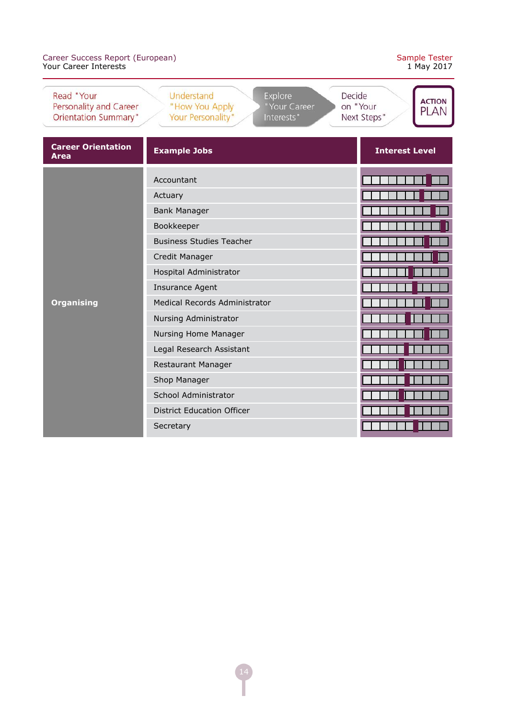|  | Sample Tester |
|--|---------------|
|  | 1 May 2017    |

| Read "Your<br>Personality and Career<br>Orientation Summary" | Understand<br><b>Explore</b><br>"How You Apply<br>"Your Career<br>Your Personality"<br>Interests" | Decide<br><b>ACTION</b><br>on "Your<br><b>PLAN</b><br>Next Steps" |
|--------------------------------------------------------------|---------------------------------------------------------------------------------------------------|-------------------------------------------------------------------|
| <b>Career Orientation</b><br><b>Area</b>                     | <b>Example Jobs</b>                                                                               | <b>Interest Level</b>                                             |
|                                                              | Accountant                                                                                        |                                                                   |
|                                                              | Actuary                                                                                           |                                                                   |
|                                                              | <b>Bank Manager</b>                                                                               |                                                                   |
|                                                              | Bookkeeper                                                                                        |                                                                   |
|                                                              | <b>Business Studies Teacher</b>                                                                   |                                                                   |
|                                                              | Credit Manager                                                                                    |                                                                   |
|                                                              | Hospital Administrator                                                                            |                                                                   |
|                                                              | <b>Insurance Agent</b>                                                                            |                                                                   |
| <b>Organising</b>                                            | Medical Records Administrator                                                                     |                                                                   |
|                                                              | Nursing Administrator                                                                             |                                                                   |
|                                                              | Nursing Home Manager                                                                              |                                                                   |
|                                                              | Legal Research Assistant                                                                          |                                                                   |
|                                                              | Restaurant Manager                                                                                |                                                                   |
|                                                              | Shop Manager                                                                                      |                                                                   |
|                                                              | School Administrator                                                                              |                                                                   |
|                                                              | <b>District Education Officer</b>                                                                 |                                                                   |
|                                                              | Secretary                                                                                         |                                                                   |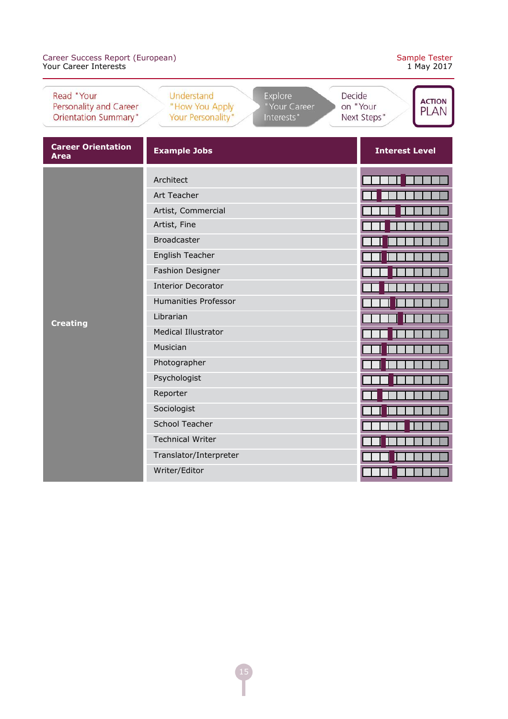|  | Sample Tester |
|--|---------------|
|  | 1 May 2017    |

| Read "Your<br>Personality and Career<br>Orientation Summary" | Understand<br>Explore<br>Decide<br>"How You Apply<br>"Your Career<br>Your Personality"<br>Interests" | <b>ACTION</b><br>on "Your<br><b>PLAN</b><br>Next Steps" |
|--------------------------------------------------------------|------------------------------------------------------------------------------------------------------|---------------------------------------------------------|
| <b>Career Orientation</b><br><b>Area</b>                     | <b>Example Jobs</b>                                                                                  | <b>Interest Level</b>                                   |
|                                                              | Architect                                                                                            |                                                         |
|                                                              | Art Teacher                                                                                          |                                                         |
|                                                              | Artist, Commercial                                                                                   |                                                         |
|                                                              | Artist, Fine                                                                                         |                                                         |
|                                                              | <b>Broadcaster</b>                                                                                   |                                                         |
|                                                              | English Teacher                                                                                      |                                                         |
|                                                              | Fashion Designer                                                                                     |                                                         |
|                                                              | <b>Interior Decorator</b>                                                                            |                                                         |
|                                                              | <b>Humanities Professor</b>                                                                          |                                                         |
| <b>Creating</b>                                              | Librarian                                                                                            |                                                         |
|                                                              | <b>Medical Illustrator</b>                                                                           |                                                         |
|                                                              | Musician                                                                                             |                                                         |
|                                                              | Photographer                                                                                         |                                                         |
|                                                              | Psychologist                                                                                         |                                                         |
|                                                              | Reporter                                                                                             |                                                         |
|                                                              | Sociologist                                                                                          |                                                         |
|                                                              | <b>School Teacher</b>                                                                                |                                                         |
|                                                              | <b>Technical Writer</b>                                                                              |                                                         |
|                                                              | Translator/Interpreter                                                                               |                                                         |
|                                                              | Writer/Editor                                                                                        |                                                         |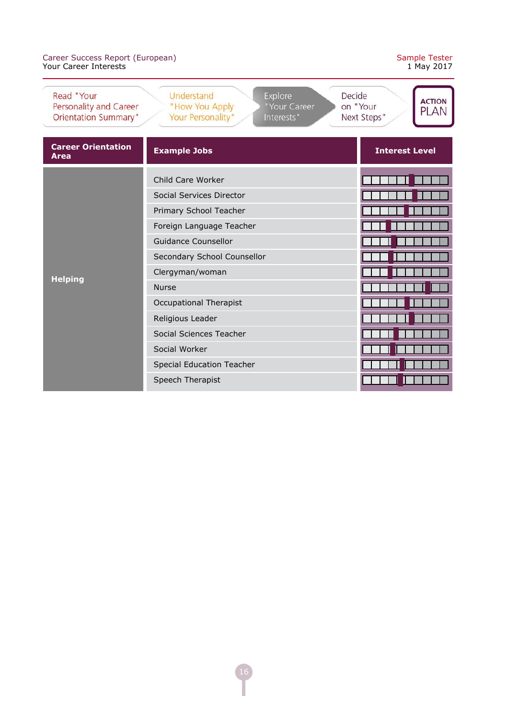|  | Sample Tester |
|--|---------------|
|  | 1 May 2017    |

| Read "Your<br>Personality and Career<br><b>Orientation Summary"</b> | Understand<br><b>Explore</b><br>"How You Apply<br>"Your Career<br>Your Personality"<br>Interests" | Decide<br><b>ACTION</b><br>on "Your<br><b>PLAN</b><br>Next Steps" |
|---------------------------------------------------------------------|---------------------------------------------------------------------------------------------------|-------------------------------------------------------------------|
| <b>Career Orientation</b><br><b>Area</b>                            | <b>Example Jobs</b>                                                                               | <b>Interest Level</b>                                             |
| <b>Helping</b>                                                      | Child Care Worker                                                                                 |                                                                   |
|                                                                     | Social Services Director                                                                          |                                                                   |
|                                                                     | Primary School Teacher                                                                            |                                                                   |
|                                                                     | Foreign Language Teacher                                                                          |                                                                   |
|                                                                     | <b>Guidance Counsellor</b>                                                                        |                                                                   |
|                                                                     | Secondary School Counsellor                                                                       |                                                                   |
|                                                                     | Clergyman/woman                                                                                   |                                                                   |
|                                                                     | <b>Nurse</b>                                                                                      |                                                                   |
|                                                                     | <b>Occupational Therapist</b>                                                                     |                                                                   |
|                                                                     | Religious Leader                                                                                  |                                                                   |
|                                                                     | Social Sciences Teacher                                                                           |                                                                   |
|                                                                     | Social Worker                                                                                     |                                                                   |
|                                                                     | <b>Special Education Teacher</b>                                                                  |                                                                   |
|                                                                     | Speech Therapist                                                                                  |                                                                   |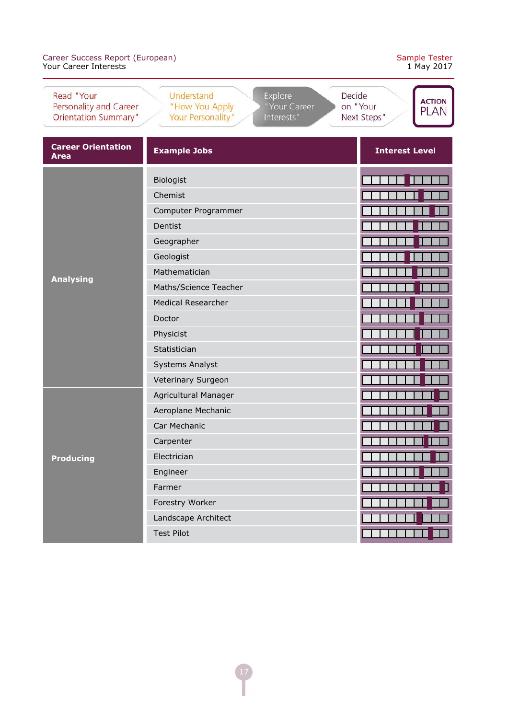| Read "Your<br>Personality and Career<br><b>Orientation Summary"</b> | Understand<br><b>Explore</b><br>"How You Apply<br>"Your Career<br>Your Personality"<br>Interests" | Decide<br><b>ACTION</b><br>on "Your<br><b>PLAN</b><br>Next Steps" |
|---------------------------------------------------------------------|---------------------------------------------------------------------------------------------------|-------------------------------------------------------------------|
| <b>Career Orientation</b><br><b>Area</b>                            | <b>Example Jobs</b>                                                                               | <b>Interest Level</b>                                             |
|                                                                     | <b>Biologist</b>                                                                                  |                                                                   |
|                                                                     | Chemist                                                                                           |                                                                   |
|                                                                     | Computer Programmer                                                                               |                                                                   |
|                                                                     | Dentist                                                                                           |                                                                   |
|                                                                     | Geographer                                                                                        |                                                                   |
|                                                                     | Geologist                                                                                         |                                                                   |
| <b>Analysing</b>                                                    | Mathematician                                                                                     |                                                                   |
|                                                                     | Maths/Science Teacher                                                                             |                                                                   |
|                                                                     | <b>Medical Researcher</b>                                                                         |                                                                   |
|                                                                     | Doctor                                                                                            |                                                                   |
|                                                                     | Physicist                                                                                         |                                                                   |
|                                                                     | Statistician                                                                                      |                                                                   |
|                                                                     | <b>Systems Analyst</b>                                                                            |                                                                   |
|                                                                     | Veterinary Surgeon                                                                                |                                                                   |
|                                                                     | Agricultural Manager                                                                              |                                                                   |
|                                                                     | Aeroplane Mechanic                                                                                |                                                                   |
| <b>Producing</b>                                                    | Car Mechanic                                                                                      |                                                                   |
|                                                                     | Carpenter                                                                                         |                                                                   |
|                                                                     | Electrician                                                                                       |                                                                   |
|                                                                     | Engineer                                                                                          |                                                                   |
|                                                                     | Farmer                                                                                            |                                                                   |
|                                                                     | Forestry Worker                                                                                   |                                                                   |
|                                                                     | Landscape Architect                                                                               |                                                                   |
|                                                                     | <b>Test Pilot</b>                                                                                 |                                                                   |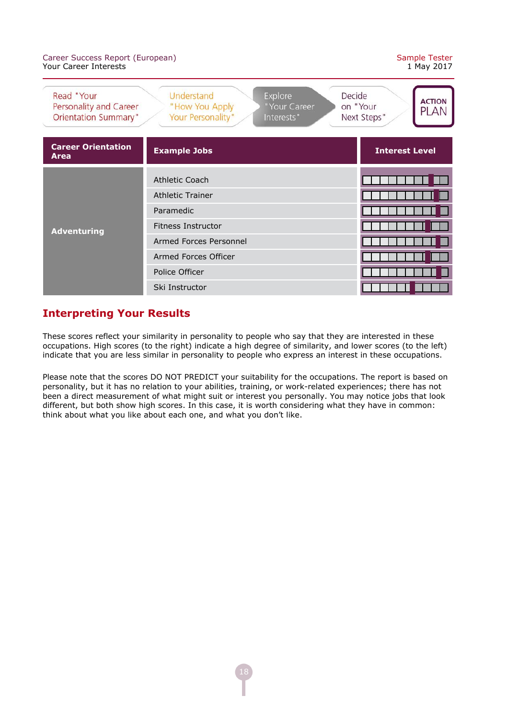#### Career Success Report (European) Sample Tester Your Career Interests

| Read "Your<br>Personality and Career<br><b>Orientation Summary"</b> | Understand<br>Explore<br>Decide<br>"How You Apply<br>"Your Career<br>Your Personality"<br>Interests" | <b>ACTION</b><br>on "Your<br><b>PLAN</b><br>Next Steps" |
|---------------------------------------------------------------------|------------------------------------------------------------------------------------------------------|---------------------------------------------------------|
| <b>Career Orientation</b><br>Area                                   | <b>Example Jobs</b>                                                                                  | <b>Interest Level</b>                                   |
| <b>Adventuring</b>                                                  | Athletic Coach                                                                                       |                                                         |
|                                                                     | <b>Athletic Trainer</b><br>Paramedic                                                                 |                                                         |
|                                                                     | <b>Fitness Instructor</b>                                                                            |                                                         |
|                                                                     | Armed Forces Personnel                                                                               |                                                         |
|                                                                     | Armed Forces Officer                                                                                 |                                                         |
|                                                                     | Police Officer                                                                                       |                                                         |
|                                                                     | Ski Instructor                                                                                       |                                                         |

# **Interpreting Your Results**

These scores reflect your similarity in personality to people who say that they are interested in these occupations. High scores (to the right) indicate a high degree of similarity, and lower scores (to the left) indicate that you are less similar in personality to people who express an interest in these occupations.

Please note that the scores DO NOT PREDICT your suitability for the occupations. The report is based on personality, but it has no relation to your abilities, training, or work-related experiences; there has not been a direct measurement of what might suit or interest you personally. You may notice jobs that look different, but both show high scores. In this case, it is worth considering what they have in common: think about what you like about each one, and what you don't like.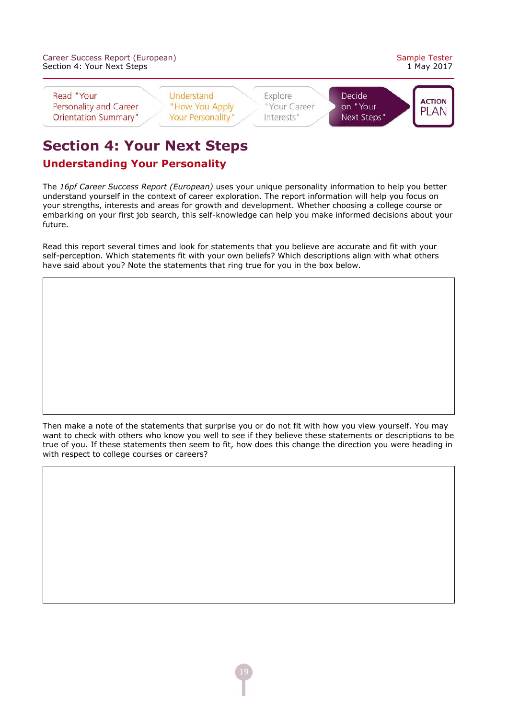|                            | Career Success Report (European) |
|----------------------------|----------------------------------|
| Section 4: Your Next Steps |                                  |



Read "Your Personality and Career **Orientation Summary"** 

Understand "How You Apply Your Personality'

Explore "Your Career Interests"

Decide on "Your Next Steps'



# **Section 4: Your Next Steps**

# **Understanding Your Personality**

The *16pf Career Success Report (European)* uses your unique personality information to help you better understand yourself in the context of career exploration. The report information will help you focus on your strengths, interests and areas for growth and development. Whether choosing a college course or embarking on your first job search, this self-knowledge can help you make informed decisions about your future.

Read this report several times and look for statements that you believe are accurate and fit with your self-perception. Which statements fit with your own beliefs? Which descriptions align with what others have said about you? Note the statements that ring true for you in the box below.

Then make a note of the statements that surprise you or do not fit with how you view yourself. You may want to check with others who know you well to see if they believe these statements or descriptions to be true of you. If these statements then seem to fit, how does this change the direction you were heading in with respect to college courses or careers?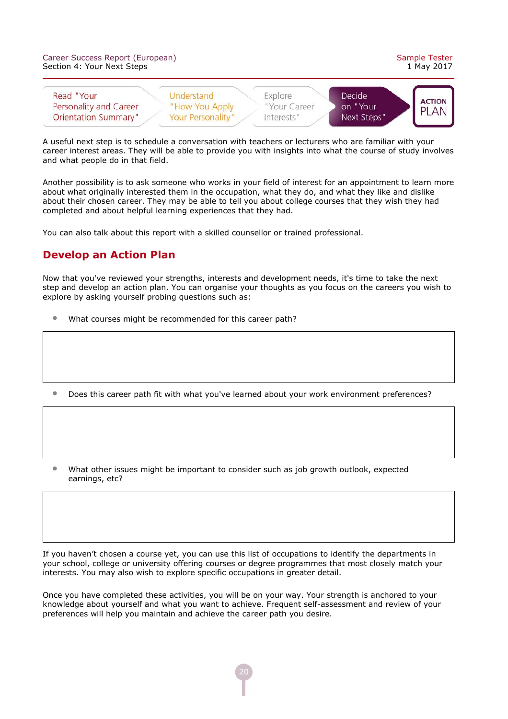| Career Success Report (European)<br>Section 4: Your Next Steps      |                                                          |                                       | Sample Tester<br>1 May 2017       |                              |
|---------------------------------------------------------------------|----------------------------------------------------------|---------------------------------------|-----------------------------------|------------------------------|
| Read "Your<br>Personality and Career<br><b>Orientation Summary"</b> | Understand<br>"How You Apply<br><b>Your Personality"</b> | Explore<br>"Your Career<br>Interests" | Decide<br>on "Your<br>Next Steps" | <b>ACTION</b><br><b>PLAN</b> |

A useful next step is to schedule a conversation with teachers or lecturers who are familiar with your career interest areas. They will be able to provide you with insights into what the course of study involves and what people do in that field.

Another possibility is to ask someone who works in your field of interest for an appointment to learn more about what originally interested them in the occupation, what they do, and what they like and dislike about their chosen career. They may be able to tell you about college courses that they wish they had completed and about helpful learning experiences that they had.

You can also talk about this report with a skilled counsellor or trained professional.

#### **Develop an Action Plan**

Now that you've reviewed your strengths, interests and development needs, it's time to take the next step and develop an action plan. You can organise your thoughts as you focus on the careers you wish to explore by asking yourself probing questions such as:

- What courses might be recommended for this career path?
- Does this career path fit with what you've learned about your work environment preferences?
- What other issues might be important to consider such as job growth outlook, expected earnings, etc?

If you haven't chosen a course yet, you can use this list of occupations to identify the departments in your school, college or university offering courses or degree programmes that most closely match your interests. You may also wish to explore specific occupations in greater detail.

Once you have completed these activities, you will be on your way. Your strength is anchored to your knowledge about yourself and what you want to achieve. Frequent self-assessment and review of your preferences will help you maintain and achieve the career path you desire.